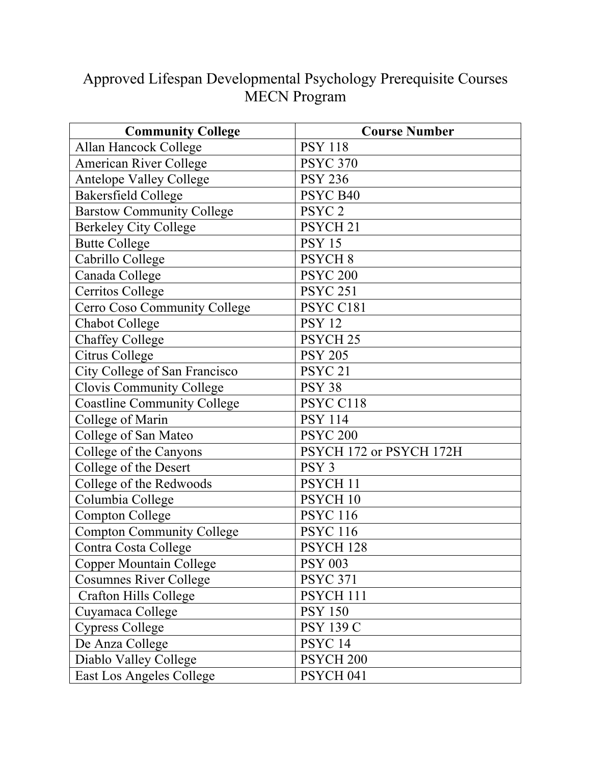## Approved Lifespan Developmental Psychology Prerequisite Courses MECN Program

| <b>Community College</b>           | <b>Course Number</b>    |
|------------------------------------|-------------------------|
| Allan Hancock College              | <b>PSY 118</b>          |
| <b>American River College</b>      | <b>PSYC 370</b>         |
| Antelope Valley College            | <b>PSY 236</b>          |
| <b>Bakersfield College</b>         | PSYC B40                |
| <b>Barstow Community College</b>   | PSYC <sub>2</sub>       |
| <b>Berkeley City College</b>       | PSYCH <sub>21</sub>     |
| <b>Butte College</b>               | <b>PSY 15</b>           |
| Cabrillo College                   | PSYCH <sub>8</sub>      |
| Canada College                     | <b>PSYC 200</b>         |
| Cerritos College                   | <b>PSYC 251</b>         |
| Cerro Coso Community College       | PSYC C181               |
| <b>Chabot College</b>              | <b>PSY 12</b>           |
| <b>Chaffey College</b>             | PSYCH <sub>25</sub>     |
| Citrus College                     | <b>PSY 205</b>          |
| City College of San Francisco      | PSYC <sub>21</sub>      |
| <b>Clovis Community College</b>    | <b>PSY 38</b>           |
| <b>Coastline Community College</b> | PSYC C118               |
| College of Marin                   | <b>PSY 114</b>          |
| College of San Mateo               | <b>PSYC 200</b>         |
| College of the Canyons             | PSYCH 172 or PSYCH 172H |
| College of the Desert              | PSY <sub>3</sub>        |
| College of the Redwoods            | PSYCH <sub>11</sub>     |
| Columbia College                   | PSYCH <sub>10</sub>     |
| <b>Compton College</b>             | <b>PSYC 116</b>         |
| <b>Compton Community College</b>   | <b>PSYC 116</b>         |
| Contra Costa College               | PSYCH <sub>128</sub>    |
| <b>Copper Mountain College</b>     | <b>PSY 003</b>          |
| <b>Cosumnes River College</b>      | <b>PSYC 371</b>         |
| <b>Crafton Hills College</b>       | PSYCH 111               |
| Cuyamaca College                   | <b>PSY 150</b>          |
| <b>Cypress College</b>             | <b>PSY 139 C</b>        |
| De Anza College                    | PSYC <sub>14</sub>      |
| Diablo Valley College              | PSYCH <sub>200</sub>    |
| East Los Angeles College           | PSYCH <sub>041</sub>    |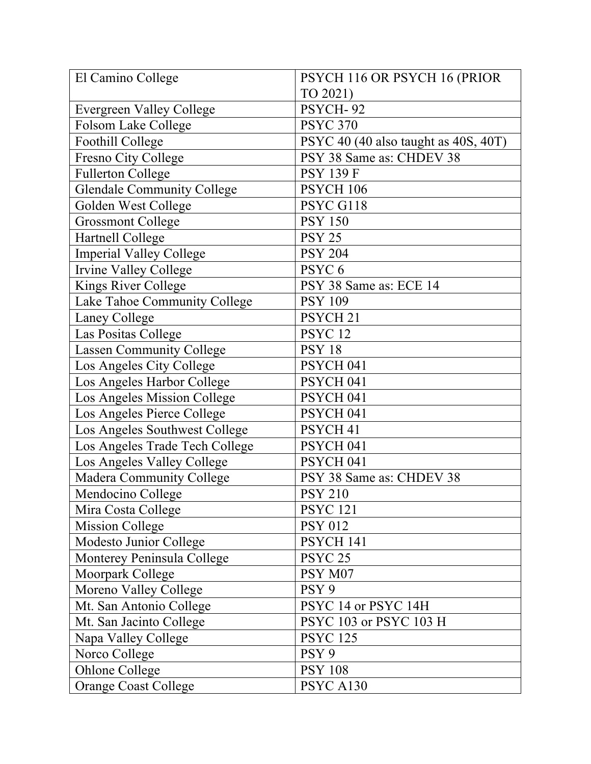| El Camino College                 | PSYCH 116 OR PSYCH 16 (PRIOR         |
|-----------------------------------|--------------------------------------|
|                                   | TO 2021)                             |
| Evergreen Valley College          | PSYCH-92                             |
| Folsom Lake College               | <b>PSYC 370</b>                      |
| Foothill College                  | PSYC 40 (40 also taught as 40S, 40T) |
| Fresno City College               | PSY 38 Same as: CHDEV 38             |
| <b>Fullerton College</b>          | <b>PSY 139 F</b>                     |
| <b>Glendale Community College</b> | PSYCH 106                            |
| Golden West College               | PSYC G118                            |
| <b>Grossmont College</b>          | <b>PSY 150</b>                       |
| Hartnell College                  | <b>PSY 25</b>                        |
| <b>Imperial Valley College</b>    | <b>PSY 204</b>                       |
| Irvine Valley College             | PSYC <sub>6</sub>                    |
| Kings River College               | PSY 38 Same as: ECE 14               |
| Lake Tahoe Community College      | <b>PSY 109</b>                       |
| Laney College                     | PSYCH <sub>21</sub>                  |
| Las Positas College               | PSYC <sub>12</sub>                   |
| <b>Lassen Community College</b>   | <b>PSY 18</b>                        |
| Los Angeles City College          | PSYCH <sub>041</sub>                 |
| Los Angeles Harbor College        | PSYCH <sub>041</sub>                 |
| Los Angeles Mission College       | PSYCH <sub>041</sub>                 |
| Los Angeles Pierce College        | PSYCH <sub>041</sub>                 |
| Los Angeles Southwest College     | PSYCH <sub>41</sub>                  |
| Los Angeles Trade Tech College    | PSYCH <sub>041</sub>                 |
| Los Angeles Valley College        | PSYCH <sub>041</sub>                 |
| Madera Community College          | PSY 38 Same as: CHDEV 38             |
| Mendocino College                 | <b>PSY 210</b>                       |
| Mira Costa College                | <b>PSYC 121</b>                      |
| <b>Mission College</b>            | <b>PSY 012</b>                       |
| Modesto Junior College            | PSYCH 141                            |
| Monterey Peninsula College        | PSYC <sub>25</sub>                   |
| Moorpark College                  | PSY M07                              |
| Moreno Valley College             | PSY <sub>9</sub>                     |
| Mt. San Antonio College           | PSYC 14 or PSYC 14H                  |
| Mt. San Jacinto College           | PSYC 103 or PSYC 103 H               |
| Napa Valley College               | <b>PSYC 125</b>                      |
| Norco College                     | PSY <sub>9</sub>                     |
| <b>Ohlone College</b>             | <b>PSY 108</b>                       |
| <b>Orange Coast College</b>       | PSYC A130                            |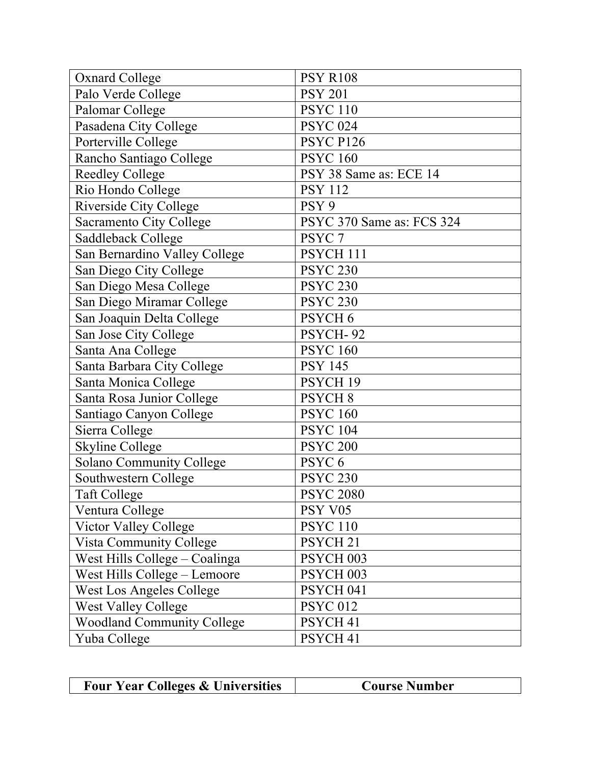| <b>Oxnard College</b>             | <b>PSY R108</b>           |
|-----------------------------------|---------------------------|
| Palo Verde College                | <b>PSY 201</b>            |
| Palomar College                   | <b>PSYC 110</b>           |
| Pasadena City College             | <b>PSYC 024</b>           |
| Porterville College               | PSYC P126                 |
| Rancho Santiago College           | <b>PSYC 160</b>           |
| <b>Reedley College</b>            | PSY 38 Same as: ECE 14    |
| Rio Hondo College                 | <b>PSY 112</b>            |
| Riverside City College            | PSY <sub>9</sub>          |
| Sacramento City College           | PSYC 370 Same as: FCS 324 |
| Saddleback College                | PSYC <sub>7</sub>         |
| San Bernardino Valley College     | PSYCH <sub>111</sub>      |
| San Diego City College            | <b>PSYC 230</b>           |
| San Diego Mesa College            | <b>PSYC 230</b>           |
| San Diego Miramar College         | <b>PSYC 230</b>           |
| San Joaquin Delta College         | PSYCH <sub>6</sub>        |
| San Jose City College             | PSYCH-92                  |
| Santa Ana College                 | <b>PSYC 160</b>           |
| Santa Barbara City College        | <b>PSY 145</b>            |
| Santa Monica College              | PSYCH <sub>19</sub>       |
| Santa Rosa Junior College         | <b>PSYCH 8</b>            |
| Santiago Canyon College           | <b>PSYC 160</b>           |
| Sierra College                    | <b>PSYC 104</b>           |
| <b>Skyline College</b>            | <b>PSYC 200</b>           |
| <b>Solano Community College</b>   | PSYC <sub>6</sub>         |
| Southwestern College              | <b>PSYC 230</b>           |
| <b>Taft College</b>               | <b>PSYC 2080</b>          |
| Ventura College                   | PSY V05                   |
| Victor Valley College             | <b>PSYC 110</b>           |
| Vista Community College           | PSYCH <sub>21</sub>       |
| West Hills College - Coalinga     | PSYCH 003                 |
| West Hills College - Lemoore      | PSYCH 003                 |
| West Los Angeles College          | PSYCH <sub>041</sub>      |
| <b>West Valley College</b>        | <b>PSYC 012</b>           |
| <b>Woodland Community College</b> | PSYCH <sub>41</sub>       |
| Yuba College                      | PSYCH <sub>41</sub>       |

| <b>Four Year Colleges &amp; Universities</b> | <b>Course Number</b> |
|----------------------------------------------|----------------------|